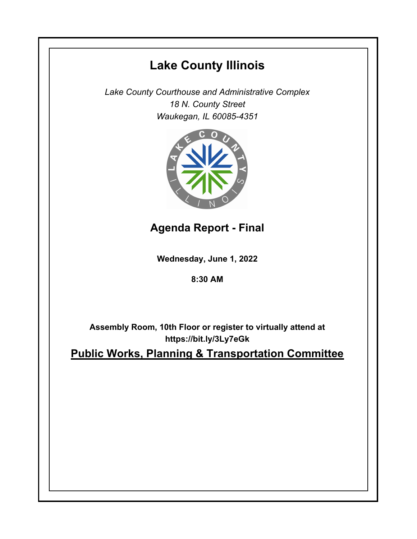# **Lake County Illinois**

*Lake County Courthouse and Administrative Complex 18 N. County Street Waukegan, IL 60085-4351*



**Agenda Report - Final**

**Wednesday, June 1, 2022**

**8:30 AM**

**Assembly Room, 10th Floor or register to virtually attend at https://bit.ly/3Ly7eGk**

**Public Works, Planning & Transportation Committee**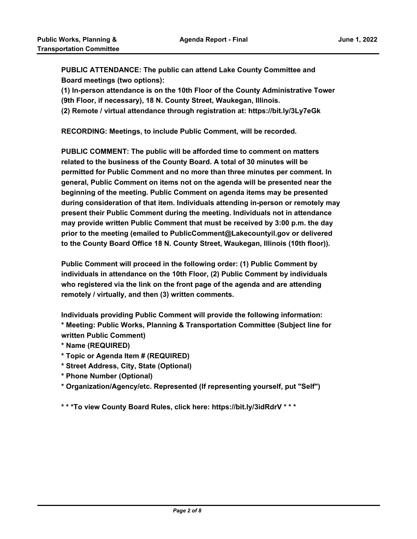**PUBLIC ATTENDANCE: The public can attend Lake County Committee and Board meetings (two options):** 

**(1) In-person attendance is on the 10th Floor of the County Administrative Tower (9th Floor, if necessary), 18 N. County Street, Waukegan, Illinois.**

**(2) Remote / virtual attendance through registration at: https://bit.ly/3Ly7eGk**

**RECORDING: Meetings, to include Public Comment, will be recorded.**

**PUBLIC COMMENT: The public will be afforded time to comment on matters related to the business of the County Board. A total of 30 minutes will be permitted for Public Comment and no more than three minutes per comment. In general, Public Comment on items not on the agenda will be presented near the beginning of the meeting. Public Comment on agenda items may be presented during consideration of that item. Individuals attending in-person or remotely may present their Public Comment during the meeting. Individuals not in attendance may provide written Public Comment that must be received by 3:00 p.m. the day prior to the meeting (emailed to PublicComment@Lakecountyil.gov or delivered to the County Board Office 18 N. County Street, Waukegan, Illinois (10th floor)).** 

**Public Comment will proceed in the following order: (1) Public Comment by individuals in attendance on the 10th Floor, (2) Public Comment by individuals who registered via the link on the front page of the agenda and are attending remotely / virtually, and then (3) written comments.** 

**Individuals providing Public Comment will provide the following information: \* Meeting: Public Works, Planning & Transportation Committee (Subject line for written Public Comment)**

- **\* Name (REQUIRED)**
- **\* Topic or Agenda Item # (REQUIRED)**
- **\* Street Address, City, State (Optional)**
- **\* Phone Number (Optional)**
- **\* Organization/Agency/etc. Represented (If representing yourself, put "Self")**

**\* \* \*To view County Board Rules, click here: https://bit.ly/3idRdrV \* \* \***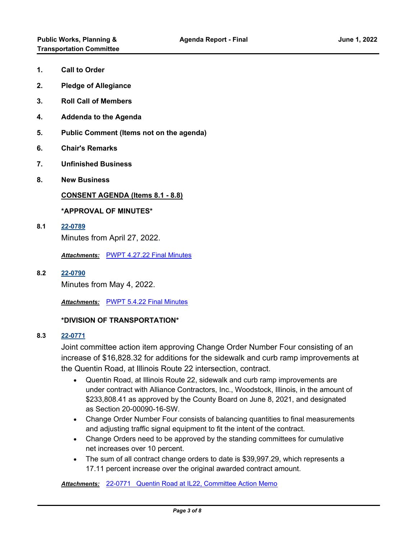- **1. Call to Order**
- **2. Pledge of Allegiance**
- **3. Roll Call of Members**
- **4. Addenda to the Agenda**
- **5. Public Comment (Items not on the agenda)**
- **6. Chair's Remarks**
- **7. Unfinished Business**
- **8. New Business**

**CONSENT AGENDA (Items 8.1 - 8.8)**

#### **\*APPROVAL OF MINUTES\***

**8.1 [22-0789](http://lakecounty.legistar.com/gateway.aspx?m=l&id=/matter.aspx?key=26575)**

Minutes from April 27, 2022.

*Attachments:* [PWPT 4.27.22 Final Minutes](http://lakecounty.legistar.com/gateway.aspx?M=F&ID=9cfeb56f-adae-47d7-8d20-a8a1a8161305.pdf)

**8.2 [22-0790](http://lakecounty.legistar.com/gateway.aspx?m=l&id=/matter.aspx?key=26576)** Minutes from May 4, 2022.

*Attachments:* [PWPT 5.4.22 Final Minutes](http://lakecounty.legistar.com/gateway.aspx?M=F&ID=e39c5fb3-4f2f-409e-a10a-978392938794.pdf)

## **\*DIVISION OF TRANSPORTATION\***

#### **8.3 [22-0771](http://lakecounty.legistar.com/gateway.aspx?m=l&id=/matter.aspx?key=26557)**

Joint committee action item approving Change Order Number Four consisting of an increase of \$16,828.32 for additions for the sidewalk and curb ramp improvements at the Quentin Road, at Illinois Route 22 intersection, contract.

- · Quentin Road, at Illinois Route 22, sidewalk and curb ramp improvements are under contract with Alliance Contractors, Inc., Woodstock, Illinois, in the amount of \$233,808.41 as approved by the County Board on June 8, 2021, and designated as Section 20-00090-16-SW.
- · Change Order Number Four consists of balancing quantities to final measurements and adjusting traffic signal equipment to fit the intent of the contract.
- · Change Orders need to be approved by the standing committees for cumulative net increases over 10 percent.
- · The sum of all contract change orders to date is \$39,997.29, which represents a 17.11 percent increase over the original awarded contract amount.

*Attachments:* [22-0771 Quentin Road at IL22, Committee Action Memo](http://lakecounty.legistar.com/gateway.aspx?M=F&ID=c68b2143-7e1b-4df5-90bf-56b83bb3779a.pdf)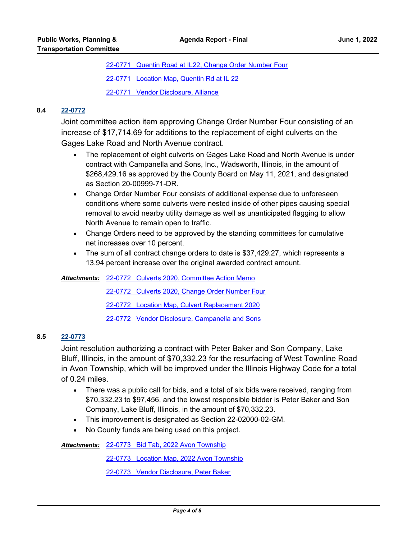[22-0771 Quentin Road at IL22, Change Order Number Four](http://lakecounty.legistar.com/gateway.aspx?M=F&ID=6e5fe082-dc6f-4dea-a323-0369f38b307b.pdf) [22-0771 Location Map, Quentin Rd at IL 22](http://lakecounty.legistar.com/gateway.aspx?M=F&ID=03004ae8-c755-4c7b-aae2-e51931d0d891.pdf)

[22-0771 Vendor Disclosure, Alliance](http://lakecounty.legistar.com/gateway.aspx?M=F&ID=174d2897-0c53-4a0e-9763-10053a4fd4f2.pdf)

# **8.4 [22-0772](http://lakecounty.legistar.com/gateway.aspx?m=l&id=/matter.aspx?key=26558)**

Joint committee action item approving Change Order Number Four consisting of an increase of \$17,714.69 for additions to the replacement of eight culverts on the Gages Lake Road and North Avenue contract.

- · The replacement of eight culverts on Gages Lake Road and North Avenue is under contract with Campanella and Sons, Inc., Wadsworth, Illinois, in the amount of \$268,429.16 as approved by the County Board on May 11, 2021, and designated as Section 20-00999-71-DR.
- · Change Order Number Four consists of additional expense due to unforeseen conditions where some culverts were nested inside of other pipes causing special removal to avoid nearby utility damage as well as unanticipated flagging to allow North Avenue to remain open to traffic.
- · Change Orders need to be approved by the standing committees for cumulative net increases over 10 percent.
- · The sum of all contract change orders to date is \$37,429.27, which represents a 13.94 percent increase over the original awarded contract amount.

[22-0772 Culverts 2020, Committee Action Memo](http://lakecounty.legistar.com/gateway.aspx?M=F&ID=d0698100-1945-49fe-adee-4f3071d6146b.pdf) *Attachments:* [22-0772 Culverts 2020, Change Order Number Four](http://lakecounty.legistar.com/gateway.aspx?M=F&ID=b091512b-dd77-4e26-9501-23db4da73b07.pdf) [22-0772 Location Map, Culvert Replacement 2020](http://lakecounty.legistar.com/gateway.aspx?M=F&ID=179d6d10-fce4-418c-9a0b-ad0ab9337c4b.pdf) [22-0772 Vendor Disclosure, Campanella and Sons](http://lakecounty.legistar.com/gateway.aspx?M=F&ID=e8846f8a-eb4b-4df8-8b82-c165296e3b72.pdf)

## **8.5 [22-0773](http://lakecounty.legistar.com/gateway.aspx?m=l&id=/matter.aspx?key=26559)**

Joint resolution authorizing a contract with Peter Baker and Son Company, Lake Bluff, Illinois, in the amount of \$70,332.23 for the resurfacing of West Townline Road in Avon Township, which will be improved under the Illinois Highway Code for a total of 0.24 miles.

- · There was a public call for bids, and a total of six bids were received, ranging from \$70,332.23 to \$97,456, and the lowest responsible bidder is Peter Baker and Son Company, Lake Bluff, Illinois, in the amount of \$70,332.23.
- · This improvement is designated as Section 22-02000-02-GM.
- No County funds are being used on this project.

[22-0773 Bid Tab, 2022 Avon Township](http://lakecounty.legistar.com/gateway.aspx?M=F&ID=bdee854e-1b8a-4297-a124-a1123e0af80e.pdf) *Attachments:*

[22-0773 Location Map, 2022 Avon Township](http://lakecounty.legistar.com/gateway.aspx?M=F&ID=25575343-06ac-43c4-b17a-ff0f8f07add0.pdf)

[22-0773 Vendor Disclosure, Peter Baker](http://lakecounty.legistar.com/gateway.aspx?M=F&ID=a1e5e1c5-308f-4561-8ebf-a447cdf686dd.pdf)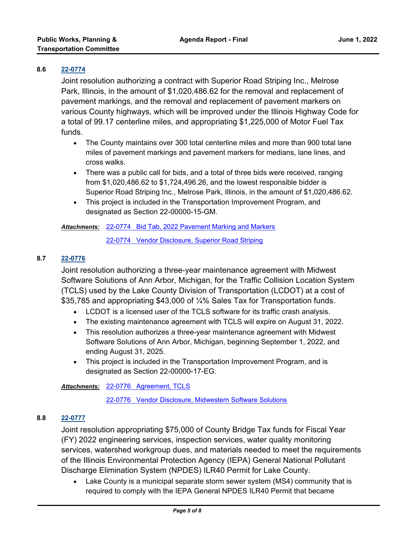## **8.6 [22-0774](http://lakecounty.legistar.com/gateway.aspx?m=l&id=/matter.aspx?key=26560)**

Joint resolution authorizing a contract with Superior Road Striping Inc., Melrose Park, Illinois, in the amount of \$1,020,486.62 for the removal and replacement of pavement markings, and the removal and replacement of pavement markers on various County highways, which will be improved under the Illinois Highway Code for a total of 99.17 centerline miles, and appropriating \$1,225,000 of Motor Fuel Tax funds.

- · The County maintains over 300 total centerline miles and more than 900 total lane miles of pavement markings and pavement markers for medians, lane lines, and cross walks.
- · There was a public call for bids, and a total of three bids were received, ranging from \$1,020,486.62 to \$1,724,496.26, and the lowest responsible bidder is Superior Road Striping Inc., Melrose Park, Illinois, in the amount of \$1,020,486.62.
- · This project is included in the Transportation Improvement Program, and designated as Section 22-00000-15-GM.

[22-0774 Bid Tab, 2022 Pavement Marking and Markers](http://lakecounty.legistar.com/gateway.aspx?M=F&ID=0a892c8b-e153-4c02-bddb-6a95c228fa1c.pdf) *Attachments:*

[22-0774 Vendor Disclosure, Superior Road Striping](http://lakecounty.legistar.com/gateway.aspx?M=F&ID=9f6b1870-76f0-456c-8141-691629fa20de.pdf)

## **8.7 [22-0776](http://lakecounty.legistar.com/gateway.aspx?m=l&id=/matter.aspx?key=26562)**

Joint resolution authorizing a three-year maintenance agreement with Midwest Software Solutions of Ann Arbor, Michigan, for the Traffic Collision Location System (TCLS) used by the Lake County Division of Transportation (LCDOT) at a cost of \$35,785 and appropriating \$43,000 of ¼% Sales Tax for Transportation funds.

- · LCDOT is a licensed user of the TCLS software for its traffic crash analysis.
- · The existing maintenance agreement with TCLS will expire on August 31, 2022.
- · This resolution authorizes a three-year maintenance agreement with Midwest Software Solutions of Ann Arbor, Michigan, beginning September 1, 2022, and ending August 31, 2025.
- · This project is included in the Transportation Improvement Program, and is designated as Section 22-00000-17-EG.

[22-0776 Agreement, TCLS](http://lakecounty.legistar.com/gateway.aspx?M=F&ID=a0bd79e0-e651-4223-8605-d099ef14a7b2.pdf) *Attachments:*

[22-0776 Vendor Disclosure, Midwestern Software Solutions](http://lakecounty.legistar.com/gateway.aspx?M=F&ID=03199f0d-68cf-4527-a774-fc58cd2620e5.pdf)

## **8.8 [22-0777](http://lakecounty.legistar.com/gateway.aspx?m=l&id=/matter.aspx?key=26563)**

Joint resolution appropriating \$75,000 of County Bridge Tax funds for Fiscal Year (FY) 2022 engineering services, inspection services, water quality monitoring services, watershed workgroup dues, and materials needed to meet the requirements of the Illinois Environmental Protection Agency (IEPA) General National Pollutant Discharge Elimination System (NPDES) ILR40 Permit for Lake County.

• Lake County is a municipal separate storm sewer system (MS4) community that is required to comply with the IEPA General NPDES ILR40 Permit that became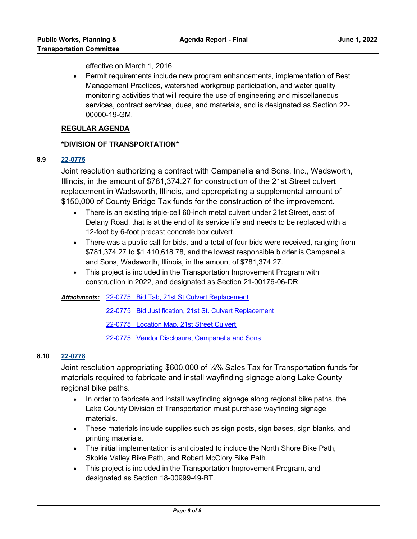effective on March 1, 2016.

· Permit requirements include new program enhancements, implementation of Best Management Practices, watershed workgroup participation, and water quality monitoring activities that will require the use of engineering and miscellaneous services, contract services, dues, and materials, and is designated as Section 22- 00000-19-GM.

## **REGULAR AGENDA**

# **\*DIVISION OF TRANSPORTATION\***

## **8.9 [22-0775](http://lakecounty.legistar.com/gateway.aspx?m=l&id=/matter.aspx?key=26561)**

Joint resolution authorizing a contract with Campanella and Sons, Inc., Wadsworth, Illinois, in the amount of \$781,374.27 for construction of the 21st Street culvert replacement in Wadsworth, Illinois, and appropriating a supplemental amount of \$150,000 of County Bridge Tax funds for the construction of the improvement.

- · There is an existing triple-cell 60-inch metal culvert under 21st Street, east of Delany Road, that is at the end of its service life and needs to be replaced with a 12-foot by 6-foot precast concrete box culvert.
- · There was a public call for bids, and a total of four bids were received, ranging from \$781,374.27 to \$1,410,618.78, and the lowest responsible bidder is Campanella and Sons, Wadsworth, Illinois, in the amount of \$781,374.27.
- · This project is included in the Transportation Improvement Program with construction in 2022, and designated as Section 21-00176-06-DR.

[22-0775 Bid Tab, 21st St Culvert Replacement](http://lakecounty.legistar.com/gateway.aspx?M=F&ID=e5e09633-d342-4f0a-b62f-46f1c482225d.pdf) *Attachments:*

[22-0775 Bid Justification, 21st St. Culvert Replacement](http://lakecounty.legistar.com/gateway.aspx?M=F&ID=3da66f6f-bf8f-4d87-acce-3bcf0be52098.pdf)

[22-0775 Location Map, 21st Street Culvert](http://lakecounty.legistar.com/gateway.aspx?M=F&ID=942b31b2-10f5-415c-8afd-c998128d3fd5.pdf)

[22-0775 Vendor Disclosure, Campanella and Sons](http://lakecounty.legistar.com/gateway.aspx?M=F&ID=4b96a397-9f34-4787-9ed3-cca107573a50.pdf)

## **8.10 [22-0778](http://lakecounty.legistar.com/gateway.aspx?m=l&id=/matter.aspx?key=26564)**

Joint resolution appropriating \$600,000 of ¼% Sales Tax for Transportation funds for materials required to fabricate and install wayfinding signage along Lake County regional bike paths.

- · In order to fabricate and install wayfinding signage along regional bike paths, the Lake County Division of Transportation must purchase wayfinding signage materials.
- · These materials include supplies such as sign posts, sign bases, sign blanks, and printing materials.
- · The initial implementation is anticipated to include the North Shore Bike Path, Skokie Valley Bike Path, and Robert McClory Bike Path.
- · This project is included in the Transportation Improvement Program, and designated as Section 18-00999-49-BT.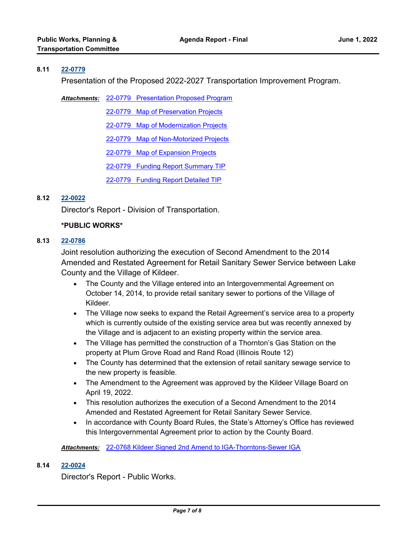## **8.11 [22-0779](http://lakecounty.legistar.com/gateway.aspx?m=l&id=/matter.aspx?key=26565)**

Presentation of the Proposed 2022-2027 Transportation Improvement Program.

Attachments: [22-0779 Presentation Proposed Program](http://lakecounty.legistar.com/gateway.aspx?M=F&ID=bbdae888-0f3b-477a-bf0a-f1ceabb85821.pdf) [22-0779 Map of Preservation Projects](http://lakecounty.legistar.com/gateway.aspx?M=F&ID=fa7b3ebc-c658-4d78-8b38-e0d7143f14ff.pdf) [22-0779 Map of Modernization Projects](http://lakecounty.legistar.com/gateway.aspx?M=F&ID=8c90fb2c-0387-465c-a451-f005b484ecca.pdf) [22-0779 Map of Non-Motorized Projects](http://lakecounty.legistar.com/gateway.aspx?M=F&ID=f4f84efa-7a78-42c3-ab2d-bd707853a07d.pdf) [22-0779 Map of Expansion Projects](http://lakecounty.legistar.com/gateway.aspx?M=F&ID=2677648b-0f2a-4087-ac7e-abd004142786.pdf) [22-0779 Funding Report Summary TIP](http://lakecounty.legistar.com/gateway.aspx?M=F&ID=8c9ce581-03ce-4fe6-935e-1824a7928a70.pdf) [22-0779 Funding Report Detailed TIP](http://lakecounty.legistar.com/gateway.aspx?M=F&ID=263c7b5b-43be-4126-a52e-3ae98d517468.pdf)

# **8.12 [22-0022](http://lakecounty.legistar.com/gateway.aspx?m=l&id=/matter.aspx?key=25804)**

Director's Report - Division of Transportation.

# **\*PUBLIC WORKS\***

## **8.13 [22-0786](http://lakecounty.legistar.com/gateway.aspx?m=l&id=/matter.aspx?key=26572)**

Joint resolution authorizing the execution of Second Amendment to the 2014 Amended and Restated Agreement for Retail Sanitary Sewer Service between Lake County and the Village of Kildeer.

- · The County and the Village entered into an Intergovernmental Agreement on October 14, 2014, to provide retail sanitary sewer to portions of the Village of Kildeer.
- · The Village now seeks to expand the Retail Agreement's service area to a property which is currently outside of the existing service area but was recently annexed by the Village and is adjacent to an existing property within the service area.
- · The Village has permitted the construction of a Thornton's Gas Station on the property at Plum Grove Road and Rand Road (Illinois Route 12)
- · The County has determined that the extension of retail sanitary sewage service to the new property is feasible.
- · The Amendment to the Agreement was approved by the Kildeer Village Board on April 19, 2022.
- · This resolution authorizes the execution of a Second Amendment to the 2014 Amended and Restated Agreement for Retail Sanitary Sewer Service.
- · In accordance with County Board Rules, the State's Attorney's Office has reviewed this Intergovernmental Agreement prior to action by the County Board.

*Attachments:* [22-0768 Kildeer Signed 2nd Amend to IGA-Thorntons-Sewer IGA](http://lakecounty.legistar.com/gateway.aspx?M=F&ID=f520a3a3-bd75-473f-b799-8cc15a86565d.pdf)

## **8.14 [22-0024](http://lakecounty.legistar.com/gateway.aspx?m=l&id=/matter.aspx?key=25806)**

Director's Report - Public Works.